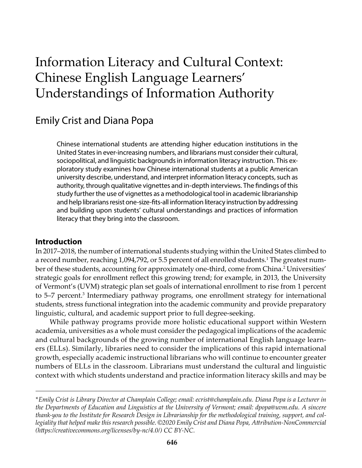# Information Literacy and Cultural Context: Chinese English Language Learners' Understandings of Information Authority

# Emily Crist and Diana Popa\*

Chinese international students are attending higher education institutions in the United States in ever-increasing numbers, and librarians must consider their cultural, sociopolitical, and linguistic backgrounds in information literacy instruction. This exploratory study examines how Chinese international students at a public American university describe, understand, and interpret information literacy concepts, such as authority, through qualitative vignettes and in-depth interviews. The findings of this study further the use of vignettes as a methodological tool in academic librarianship and help librarians resist one-size-fits-all information literacy instruction by addressing and building upon students' cultural understandings and practices of information literacy that they bring into the classroom.

#### **Introduction**

In 2017–2018, the number of international students studying within the United States climbed to a record number, reaching 1,094,792, or 5.5 percent of all enrolled students.<sup>1</sup> The greatest number of these students, accounting for approximately one-third, come from China.<sup>2</sup> Universities' strategic goals for enrollment reflect this growing trend; for example, in 2013, the University of Vermont's (UVM) strategic plan set goals of international enrollment to rise from 1 percent to 5–7 percent.<sup>3</sup> Intermediary pathway programs, one enrollment strategy for international students, stress functional integration into the academic community and provide preparatory linguistic, cultural, and academic support prior to full degree-seeking.

While pathway programs provide more holistic educational support within Western academia, universities as a whole must consider the pedagogical implications of the academic and cultural backgrounds of the growing number of international English language learners (ELLs). Similarly, libraries need to consider the implications of this rapid international growth, especially academic instructional librarians who will continue to encounter greater numbers of ELLs in the classroom. Librarians must understand the cultural and linguistic context with which students understand and practice information literacy skills and may be

*<sup>\*</sup>Emily Crist is Library Director at Champlain College; email: [ecrist@champlain.edu](mailto:ecrist@champlain.edu). Diana Popa is a Lecturer in the Departments of Education and Linguistics at the University of Vermont; email: [dpopa@uvm.edu](mailto:dpopa@uvm.edu). A sincere thank-you to the Institute for Research Design in Librarianship for the methodological training, support, and collegiality that helped make this research possible. ©2020 Emily Crist and Diana Popa, Attribution-NonCommercial ([https://creativecommons.org/licenses/by-nc/4.0/\)](https://creativecommons.org/licenses/by-nc/4.0/) CC BY-NC.*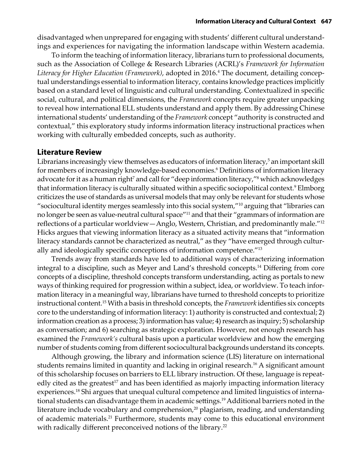disadvantaged when unprepared for engaging with students' different cultural understandings and experiences for navigating the information landscape within Western academia.

To inform the teaching of information literacy, librarians turn to professional documents, such as the Association of College & Research Libraries (ACRL)'s *Framework for Information Literacy for Higher Education (Framework)*, adopted in 2016.4 The document, detailing conceptual understandings essential to information literacy, contains knowledge practices implicitly based on a standard level of linguistic and cultural understanding. Contextualized in specific social, cultural, and political dimensions, the *Framework* concepts require greater unpacking to reveal how international ELL students understand and apply them. By addressing Chinese international students' understanding of the *Framework* concept "authority is constructed and contextual," this exploratory study informs information literacy instructional practices when working with culturally embedded concepts, such as authority.

#### **Literature Review**

Librarians increasingly view themselves as educators of information literacy,<sup>5</sup> an important skill for members of increasingly knowledge-based economies.<sup>6</sup> Definitions of information literacy advocate for it as a human right<sup>7</sup> and call for "deep information literacy,"<sup>8</sup> which acknowledges that information literacy is culturally situated within a specific sociopolitical context.<sup>9</sup> Elmborg criticizes the use of standards as universal models that may only be relevant for students whose "sociocultural identity merges seamlessly into this social system,"10 arguing that "libraries can no longer be seen as value-neutral cultural space"11 and that their "grammars of information are reflections of a particular worldview—Anglo, Western, Christian, and predominantly male."<sup>12</sup> Hicks argues that viewing information literacy as a situated activity means that "information literacy standards cannot be characterized as neutral," as they "have emerged through culturally and ideologically specific conceptions of information competence."13

Trends away from standards have led to additional ways of characterizing information integral to a discipline, such as Meyer and Land's threshold concepts.14 Differing from core concepts of a discipline, threshold concepts transform understanding, acting as portals to new ways of thinking required for progression within a subject, idea, or worldview. To teach information literacy in a meaningful way, librarians have turned to threshold concepts to prioritize instructional content.15 With a basis in threshold concepts, the *Framework* identifies six concepts core to the understanding of information literacy: 1) authority is constructed and contextual; 2) information creation as a process; 3) information has value; 4) research as inquiry; 5) scholarship as conversation; and 6) searching as strategic exploration. However, not enough research has examined the *Framework's* cultural basis upon a particular worldview and how the emerging number of students coming from different sociocultural backgrounds understand its concepts.

Although growing, the library and information science (LIS) literature on international students remains limited in quantity and lacking in original research.<sup>16</sup> A significant amount of this scholarship focuses on barriers to ELL library instruction. Of these, language is repeatedly cited as the greatest<sup>17</sup> and has been identified as majorly impacting information literacy experiences.<sup>18</sup> Shi argues that unequal cultural competence and limited linguistics of international students can disadvantage them in academic settings.<sup>19</sup> Additional barriers noted in the literature include vocabulary and comprehension,<sup>20</sup> plagiarism, reading, and understanding of academic materials.<sup>21</sup> Furthermore, students may come to this educational environment with radically different preconceived notions of the library.<sup>22</sup>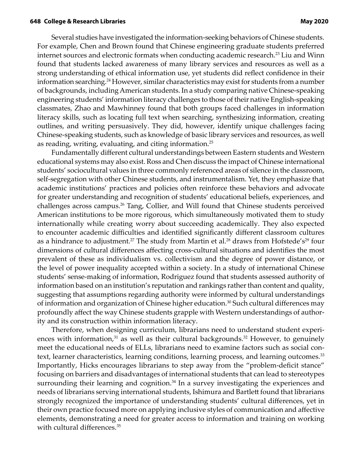Several studies have investigated the information-seeking behaviors of Chinese students. For example, Chen and Brown found that Chinese engineering graduate students preferred internet sources and electronic formats when conducting academic research.<sup>23</sup> Liu and Winn found that students lacked awareness of many library services and resources as well as a strong understanding of ethical information use, yet students did reflect confidence in their information searching.<sup>24</sup> However, similar characteristics may exist for students from a number of backgrounds, including American students. In a study comparing native Chinese-speaking engineering students' information literacy challenges to those of their native English-speaking classmates, Zhao and Mawhinney found that both groups faced challenges in information literacy skills, such as locating full text when searching, synthesizing information, creating outlines, and writing persuasively. They did, however, identify unique challenges facing Chinese-speaking students, such as knowledge of basic library services and resources, as well as reading, writing, evaluating, and citing information.25

Fundamentally different cultural understandings between Eastern students and Western educational systems may also exist. Ross and Chen discuss the impact of Chinese international students' sociocultural values in three commonly referenced areas of silence in the classroom, self-segregation with other Chinese students, and instrumentalism. Yet, they emphasize that academic institutions' practices and policies often reinforce these behaviors and advocate for greater understanding and recognition of students' educational beliefs, experiences, and challenges across campus.<sup>26</sup> Tang, Collier, and Will found that Chinese students perceived American institutions to be more rigorous, which simultaneously motivated them to study internationally while creating worry about succeeding academically. They also expected to encounter academic difficulties and identified significantly different classroom cultures as a hindrance to adjustment.<sup>27</sup> The study from Martin et al.<sup>28</sup> draws from Hofstede's<sup>29</sup> four dimensions of cultural differences affecting cross-cultural situations and identifies the most prevalent of these as individualism vs. collectivism and the degree of power distance, or the level of power inequality accepted within a society. In a study of international Chinese students' sense-making of information, Rodriguez found that students assessed authority of information based on an institution's reputation and rankings rather than content and quality, suggesting that assumptions regarding authority were informed by cultural understandings of information and organization of Chinese higher education.<sup>30</sup> Such cultural differences may profoundly affect the way Chinese students grapple with Western understandings of authority and its construction within information literacy.

Therefore, when designing curriculum, librarians need to understand student experiences with information, $31$  as well as their cultural backgrounds. $32$  However, to genuinely meet the educational needs of ELLs, librarians need to examine factors such as social context, learner characteristics, learning conditions, learning process, and learning outcomes.<sup>33</sup> Importantly, Hicks encourages librarians to step away from the "problem-deficit stance" focusing on barriers and disadvantages of international students that can lead to stereotypes surrounding their learning and cognition. $34$  In a survey investigating the experiences and needs of librarians serving international students, Ishimura and Bartlett found that librarians strongly recognized the importance of understanding students' cultural differences, yet in their own practice focused more on applying inclusive styles of communication and affective elements, demonstrating a need for greater access to information and training on working with cultural differences.<sup>35</sup>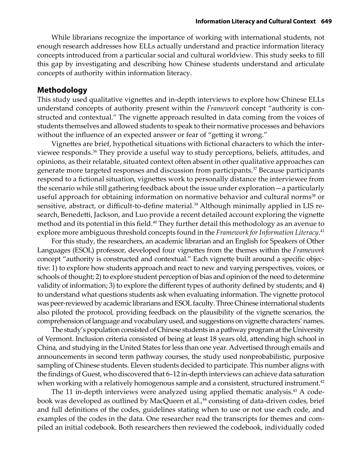While librarians recognize the importance of working with international students, not enough research addresses how ELLs actually understand and practice information literacy concepts introduced from a particular social and cultural worldview. This study seeks to fill this gap by investigating and describing how Chinese students understand and articulate concepts of authority within information literacy.

#### **Methodology**

This study used qualitative vignettes and in-depth interviews to explore how Chinese ELLs understand concepts of authority present within the *Framework* concept "authority is constructed and contextual." The vignette approach resulted in data coming from the voices of students themselves and allowed students to speak to their normative processes and behaviors without the influence of an expected answer or fear of "getting it wrong."

Vignettes are brief, hypothetical situations with fictional characters to which the interviewee responds.36 They provide a useful way to study perceptions, beliefs, attitudes, and opinions, as their relatable, situated context often absent in other qualitative approaches can generate more targeted responses and discussion from participants.<sup>37</sup> Because participants respond to a fictional situation, vignettes work to personally distance the interviewee from the scenario while still gathering feedback about the issue under exploration—a particularly useful approach for obtaining information on normative behavior and cultural norms<sup>38</sup> or sensitive, abstract, or difficult-to-define material.<sup>39</sup> Although minimally applied in LIS research, Benedetti, Jackson, and Luo provide a recent detailed account exploring the vignette method and its potential in this field.<sup>40</sup> They further detail this methodology as an avenue to explore more ambiguous threshold concepts found in the *Framework for Information Literacy*. 41

For this study, the researchers, an academic librarian and an English for Speakers of Other Languages (ESOL) professor, developed four vignettes from the themes within the *Framework*  concept "authority is constructed and contextual." Each vignette built around a specific objective: 1) to explore how students approach and react to new and varying perspectives, voices, or schools of thought; 2) to explore student perception of bias and opinion of the need to determine validity of information; 3) to explore the different types of authority defined by students; and 4) to understand what questions students ask when evaluating information. The vignette protocol was peer-reviewed by academic librarians and ESOL faculty. Three Chinese international students also piloted the protocol, providing feedback on the plausibility of the vignette scenarios, the comprehension of language and vocabulary used, and suggestions on vignette characters' names.

The study's population consisted of Chinese students in a pathway program at the University of Vermont. Inclusion criteria consisted of being at least 18 years old, attending high school in China, and studying in the United States for less than one year. Advertised through emails and announcements in second term pathway courses, the study used nonprobabilistic, purposive sampling of Chinese students. Eleven students decided to participate. This number aligns with the findings of Guest, who discovered that 6–12 in-depth interviews can achieve data saturation when working with a relatively homogenous sample and a consistent, structured instrument.<sup>42</sup>

The 11 in-depth interviews were analyzed using applied thematic analysis.<sup>43</sup> A codebook was developed as outlined by MacQueen et al.,<sup>44</sup> consisting of data-driven codes, brief and full definitions of the codes, guidelines stating when to use or not use each code, and examples of the codes in the data. One researcher read the transcripts for themes and compiled an initial codebook. Both researchers then reviewed the codebook, individually coded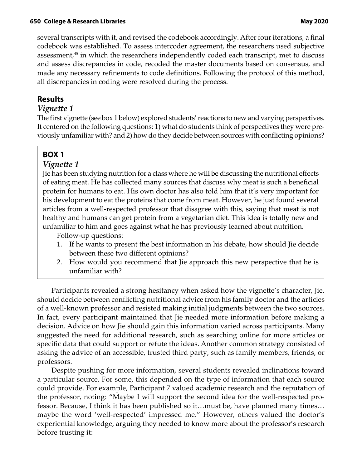several transcripts with it, and revised the codebook accordingly. After four iterations, a final codebook was established. To assess intercoder agreement, the researchers used subjective assessment,<sup>45</sup> in which the researchers independently coded each transcript, met to discuss and assess discrepancies in code, recoded the master documents based on consensus, and made any necessary refinements to code definitions. Following the protocol of this method, all discrepancies in coding were resolved during the process.

# **Results**

#### *Vignette 1*

The first vignette (see box 1 below) explored students' reactions to new and varying perspectives. It centered on the following questions: 1) what do students think of perspectives they were previously unfamiliar with? and 2) how do they decide between sources with conflicting opinions?

# **BOX 1**

# *Vignette 1*

Jie has been studying nutrition for a class where he will be discussing the nutritional effects of eating meat. He has collected many sources that discuss why meat is such a beneficial protein for humans to eat. His own doctor has also told him that it's very important for his development to eat the proteins that come from meat. However, he just found several articles from a well-respected professor that disagree with this, saying that meat is not healthy and humans can get protein from a vegetarian diet. This idea is totally new and unfamiliar to him and goes against what he has previously learned about nutrition.

Follow-up questions:

- 1. If he wants to present the best information in his debate, how should Jie decide between these two different opinions?
- 2. How would you recommend that Jie approach this new perspective that he is unfamiliar with?

Participants revealed a strong hesitancy when asked how the vignette's character, Jie, should decide between conflicting nutritional advice from his family doctor and the articles of a well-known professor and resisted making initial judgments between the two sources. In fact, every participant maintained that Jie needed more information before making a decision. Advice on how Jie should gain this information varied across participants. Many suggested the need for additional research, such as searching online for more articles or specific data that could support or refute the ideas. Another common strategy consisted of asking the advice of an accessible, trusted third party, such as family members, friends, or professors.

Despite pushing for more information, several students revealed inclinations toward a particular source. For some, this depended on the type of information that each source could provide. For example, Participant 7 valued academic research and the reputation of the professor, noting: "Maybe I will support the second idea for the well-respected professor. Because, I think it has been published so it…must be, have planned many times… maybe the word 'well-respected' impressed me." However, others valued the doctor's experiential knowledge, arguing they needed to know more about the professor's research before trusting it: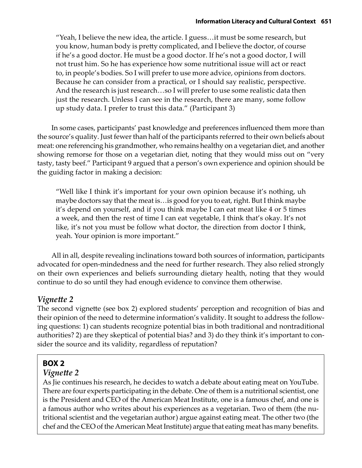"Yeah, I believe the new idea, the article. I guess…it must be some research, but you know, human body is pretty complicated, and I believe the doctor, of course if he's a good doctor. He must be a good doctor. If he's not a good doctor, I will not trust him. So he has experience how some nutritional issue will act or react to, in people's bodies. So I will prefer to use more advice, opinions from doctors. Because he can consider from a practical, or I should say realistic, perspective. And the research is just research…so I will prefer to use some realistic data then just the research. Unless I can see in the research, there are many, some follow up study data. I prefer to trust this data." (Participant 3)

In some cases, participants' past knowledge and preferences influenced them more than the source's quality. Just fewer than half of the participants referred to their own beliefs about meat: one referencing his grandmother, who remains healthy on a vegetarian diet, and another showing remorse for those on a vegetarian diet, noting that they would miss out on "very tasty, tasty beef." Participant 9 argued that a person's own experience and opinion should be the guiding factor in making a decision:

"Well like I think it's important for your own opinion because it's nothing, uh maybe doctors say that the meat is…is good for you to eat, right. But I think maybe it's depend on yourself, and if you think maybe I can eat meat like 4 or 5 times a week, and then the rest of time I can eat vegetable, I think that's okay. It's not like, it's not you must be follow what doctor, the direction from doctor I think, yeah. Your opinion is more important."

All in all, despite revealing inclinations toward both sources of information, participants advocated for open-mindedness and the need for further research. They also relied strongly on their own experiences and beliefs surrounding dietary health, noting that they would continue to do so until they had enough evidence to convince them otherwise.

# *Vignette 2*

The second vignette (see box 2) explored students' perception and recognition of bias and their opinion of the need to determine information's validity. It sought to address the following questions: 1) can students recognize potential bias in both traditional and nontraditional authorities? 2) are they skeptical of potential bias? and 3) do they think it's important to consider the source and its validity, regardless of reputation?

# **BOX 2**

# *Vignette 2*

As Jie continues his research, he decides to watch a debate about eating meat on YouTube. There are four experts participating in the debate. One of them is a nutritional scientist, one is the President and CEO of the American Meat Institute, one is a famous chef, and one is a famous author who writes about his experiences as a vegetarian. Two of them (the nutritional scientist and the vegetarian author) argue against eating meat. The other two (the chef and the CEO of the American Meat Institute) argue that eating meat has many benefits.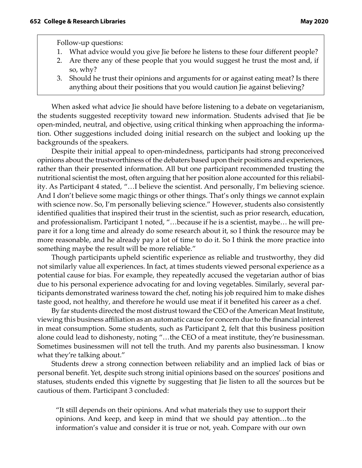Follow-up questions:

- 1. What advice would you give Jie before he listens to these four different people?
- 2. Are there any of these people that you would suggest he trust the most and, if so, why?
- 3. Should he trust their opinions and arguments for or against eating meat? Is there anything about their positions that you would caution Jie against believing?

When asked what advice Jie should have before listening to a debate on vegetarianism, the students suggested receptivity toward new information. Students advised that Jie be open-minded, neutral, and objective, using critical thinking when approaching the information. Other suggestions included doing initial research on the subject and looking up the backgrounds of the speakers.

Despite their initial appeal to open-mindedness, participants had strong preconceived opinions about the trustworthiness of the debaters based upon their positions and experiences, rather than their presented information. All but one participant recommended trusting the nutritional scientist the most, often arguing that her position alone accounted for this reliability. As Participant 4 stated, "…I believe the scientist. And personally, I'm believing science. And I don't believe some magic things or other things. That's only things we cannot explain with science now. So, I'm personally believing science." However, students also consistently identified qualities that inspired their trust in the scientist, such as prior research, education, and professionalism. Participant 1 noted, "…because if he is a scientist, maybe… he will prepare it for a long time and already do some research about it, so I think the resource may be more reasonable, and he already pay a lot of time to do it. So I think the more practice into something maybe the result will be more reliable."

Though participants upheld scientific experience as reliable and trustworthy, they did not similarly value all experiences. In fact, at times students viewed personal experience as a potential cause for bias. For example, they repeatedly accused the vegetarian author of bias due to his personal experience advocating for and loving vegetables. Similarly, several participants demonstrated wariness toward the chef, noting his job required him to make dishes taste good, not healthy, and therefore he would use meat if it benefited his career as a chef.

By far students directed the most distrust toward the CEO of the American Meat Institute, viewing this business affiliation as an automatic cause for concern due to the financial interest in meat consumption. Some students, such as Participant 2, felt that this business position alone could lead to dishonesty, noting "…the CEO of a meat institute, they're businessman. Sometimes businessmen will not tell the truth. And my parents also businessman. I know what they're talking about."

Students drew a strong connection between reliability and an implied lack of bias or personal benefit. Yet, despite such strong initial opinions based on the sources' positions and statuses, students ended this vignette by suggesting that Jie listen to all the sources but be cautious of them. Participant 3 concluded:

"It still depends on their opinions. And what materials they use to support their opinions. And keep, and keep in mind that we should pay attention…to the information's value and consider it is true or not, yeah. Compare with our own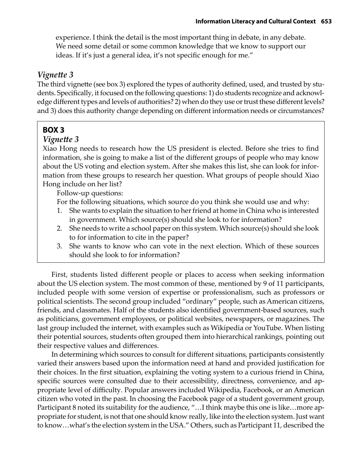experience. I think the detail is the most important thing in debate, in any debate. We need some detail or some common knowledge that we know to support our ideas. If it's just a general idea, it's not specific enough for me."

# *Vignette 3*

The third vignette (see box 3) explored the types of authority defined, used, and trusted by students. Specifically, it focused on the following questions: 1) do students recognize and acknowledge different types and levels of authorities? 2) when do they use or trust these different levels? and 3) does this authority change depending on different information needs or circumstances?

# **BOX 3**

# *Vignette 3*

Xiao Hong needs to research how the US president is elected. Before she tries to find information, she is going to make a list of the different groups of people who may know about the US voting and election system. After she makes this list, she can look for information from these groups to research her question. What groups of people should Xiao Hong include on her list?

Follow-up questions:

For the following situations, which source do you think she would use and why:

- 1. She wants to explain the situation to her friend at home in China who is interested in government. Which source(s) should she look to for information?
- 2. She needs to write a school paper on this system. Which source(s) should she look to for information to cite in the paper?
- 3. She wants to know who can vote in the next election. Which of these sources should she look to for information?

First, students listed different people or places to access when seeking information about the US election system. The most common of these, mentioned by 9 of 11 participants, included people with some version of expertise or professionalism, such as professors or political scientists. The second group included "ordinary" people, such as American citizens, friends, and classmates. Half of the students also identified government-based sources, such as politicians, government employees, or political websites, newspapers, or magazines. The last group included the internet, with examples such as Wikipedia or YouTube. When listing their potential sources, students often grouped them into hierarchical rankings, pointing out their respective values and differences.

In determining which sources to consult for different situations, participants consistently varied their answers based upon the information need at hand and provided justification for their choices. In the first situation, explaining the voting system to a curious friend in China, specific sources were consulted due to their accessibility, directness, convenience, and appropriate level of difficulty. Popular answers included Wikipedia, Facebook, or an American citizen who voted in the past. In choosing the Facebook page of a student government group, Participant 8 noted its suitability for the audience, "…I think maybe this one is like…more appropriate for student, is not that one should know really, like into the election system. Just want to know…what's the election system in the USA." Others, such as Participant 11, described the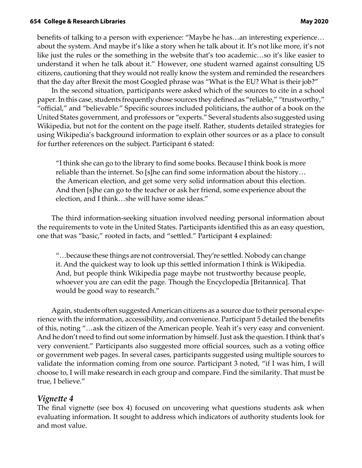benefits of talking to a person with experience: "Maybe he has…an interesting experience… about the system. And maybe it's like a story when he talk about it. It's not like more, it's not like just the rules or the something in the website that's too academic…so it's like easier to understand it when he talk about it." However, one student warned against consulting US citizens, cautioning that they would not really know the system and reminded the researchers that the day after Brexit the most Googled phrase was "What is the EU? What is their job?"

In the second situation, participants were asked which of the sources to cite in a school paper. In this case, students frequently chose sources they defined as "reliable," "trustworthy," "official," and "believable." Specific sources included politicians, the author of a book on the United States government, and professors or "experts." Several students also suggested using Wikipedia, but not for the content on the page itself. Rather, students detailed strategies for using Wikipedia's background information to explain other sources or as a place to consult for further references on the subject. Participant 6 stated:

"I think she can go to the library to find some books. Because I think book is more reliable than the internet. So [s]he can find some information about the history… the American election, and get some very solid information about this election. And then [s]he can go to the teacher or ask her friend, some experience about the election, and I think…she will have some ideas."

The third information-seeking situation involved needing personal information about the requirements to vote in the United States. Participants identified this as an easy question, one that was "basic," rooted in facts, and "settled." Participant 4 explained:

"…because these things are not controversial. They're settled. Nobody can change it. And the quickest way to look up this settled information I think is Wikipedia. And, but people think Wikipedia page maybe not trustworthy because people, whoever you are can edit the page. Though the Encyclopedia [Britannica]. That would be good way to research."

Again, students often suggested American citizens as a source due to their personal experience with the information, accessibility, and convenience. Participant 5 detailed the benefits of this, noting "…ask the citizen of the American people. Yeah it's very easy and convenient. And he don't need to find out some information by himself. Just ask the question. I think that's very convenient." Participants also suggested more official sources, such as a voting office or government web pages. In several cases, participants suggested using multiple sources to validate the information coming from one source. Participant 3 noted, "if I was him, I will choose to, I will make research in each group and compare. Find the similarity. That must be true, I believe."

# *Vignette 4*

The final vignette (see box 4) focused on uncovering what questions students ask when evaluating information. It sought to address which indicators of authority students look for and most value.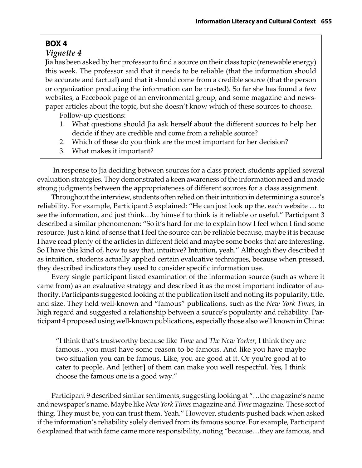# **BOX 4**

# *Vignette 4*

Jia has been asked by her professor to find a source on their class topic (renewable energy) this week. The professor said that it needs to be reliable (that the information should be accurate and factual) and that it should come from a credible source (that the person or organization producing the information can be trusted). So far she has found a few websites, a Facebook page of an environmental group, and some magazine and newspaper articles about the topic, but she doesn't know which of these sources to choose.

Follow-up questions:

- 1. What questions should Jia ask herself about the different sources to help her decide if they are credible and come from a reliable source?
- 2. Which of these do you think are the most important for her decision?
- 3. What makes it important?

 In response to Jia deciding between sources for a class project, students applied several evaluation strategies. They demonstrated a keen awareness of the information need and made strong judgments between the appropriateness of different sources for a class assignment.

Throughout the interview, students often relied on their intuition in determining a source's reliability. For example, Participant 5 explained: "He can just look up the, each website … to see the information, and just think…by himself to think is it reliable or useful." Participant 3 described a similar phenomenon: "So it's hard for me to explain how I feel when I find some resource. Just a kind of sense that I feel the source can be reliable because, maybe it is because I have read plenty of the articles in different field and maybe some books that are interesting. So I have this kind of, how to say that, intuitive? Intuition, yeah." Although they described it as intuition, students actually applied certain evaluative techniques, because when pressed, they described indicators they used to consider specific information use.

Every single participant listed examination of the information source (such as where it came from) as an evaluative strategy and described it as the most important indicator of authority. Participants suggested looking at the publication itself and noting its popularity, title, and size. They held well-known and "famous" publications, such as the *New York Times,* in high regard and suggested a relationship between a source's popularity and reliability. Participant 4 proposed using well-known publications, especially those also well known in China:

"I think that's trustworthy because like *Time* and *The New Yorker*, I think they are famous…you must have some reason to be famous. And like you have maybe two situation you can be famous. Like, you are good at it. Or you're good at to cater to people. And [either] of them can make you well respectful. Yes, I think choose the famous one is a good way."

Participant 9 described similar sentiments, suggesting looking at "…the magazine's name and newspaper's name. Maybe like *New York Times* magazine and *Time* magazine. These sort of thing. They must be, you can trust them. Yeah." However, students pushed back when asked if the information's reliability solely derived from its famous source. For example, Participant 6 explained that with fame came more responsibility, noting "because…they are famous, and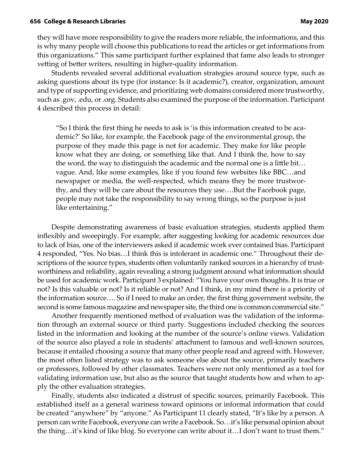they will have more responsibility to give the readers more reliable, the informations, and this is why many people will choose this publications to read the articles or get informations from this organizations." This same participant further explained that fame also leads to stronger vetting of better writers, resulting in higher-quality information.

Students revealed several additional evaluation strategies around source type, such as asking questions about its type (for instance: Is it academic?), creator, organization, amount and type of supporting evidence, and prioritizing web domains considered more trustworthy, such as .gov, .edu, or .org. Students also examined the purpose of the information. Participant 4 described this process in detail:

"So I think the first thing he needs to ask is 'is this information created to be academic?' So like, for example, the Facebook page of the environmental group, the purpose of they made this page is not for academic. They make for like people know what they are doing, or something like that. And I think the, how to say the word, the way to distinguish the academic and the normal one is a little bit… vague. And, like some examples, like if you found few websites like BBC…and newspaper or media, the well-respected, which means they be more trustworthy, and they will be care about the resources they use….But the Facebook page, people may not take the responsibility to say wrong things, so the purpose is just like entertaining."

Despite demonstrating awareness of basic evaluation strategies, students applied them inflexibly and sweepingly. For example, after suggesting looking for academic resources due to lack of bias, one of the interviewers asked if academic work ever contained bias. Participant 4 responded, "Yes. No bias…I think this is intolerant in academic one." Throughout their descriptions of the source types, students often voluntarily ranked sources in a hierarchy of trustworthiness and reliability, again revealing a strong judgment around what information should be used for academic work. Participant 3 explained: "You have your own thoughts. It is true or not? Is this valuable or not? Is it reliable or not? And I think, in my mind there is a priority of the information source…. So if I need to make an order, the first thing government website, the second is some famous magazine and newspaper site, the third one is common commercial site."

Another frequently mentioned method of evaluation was the validation of the information through an external source or third party. Suggestions included checking the sources listed in the information and looking at the number of the source's online views. Validation of the source also played a role in students' attachment to famous and well-known sources, because it entailed choosing a source that many other people read and agreed with. However, the most often listed strategy was to ask someone else about the source, primarily teachers or professors, followed by other classmates. Teachers were not only mentioned as a tool for validating information use, but also as the source that taught students how and when to apply the other evaluation strategies.

Finally, students also indicated a distrust of specific sources, primarily Facebook. This established itself as a general wariness toward opinions or informal information that could be created "anywhere" by "anyone." As Participant 11 clearly stated, "It's like by a person. A person can write Facebook, everyone can write a Facebook. So…it's like personal opinion about the thing…it's kind of like blog. So everyone can write about it…I don't want to trust them."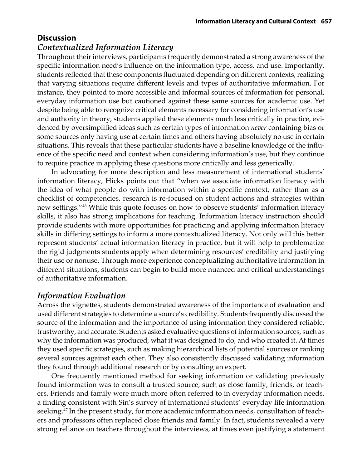### **Discussion**

### *Contextualized Information Literacy*

Throughout their interviews, participants frequently demonstrated a strong awareness of the specific information need's influence on the information type, access, and use. Importantly, students reflected that these components fluctuated depending on different contexts, realizing that varying situations require different levels and types of authoritative information. For instance, they pointed to more accessible and informal sources of information for personal, everyday information use but cautioned against these same sources for academic use. Yet despite being able to recognize critical elements necessary for considering information's use and authority in theory, students applied these elements much less critically in practice, evidenced by oversimplified ideas such as certain types of information *never* containing bias or some sources only having use at certain times and others having absolutely no use in certain situations. This reveals that these particular students have a baseline knowledge of the influence of the specific need and context when considering information's use, but they continue to require practice in applying these questions more critically and less generically.

In advocating for more description and less measurement of international students' information literacy, Hicks points out that "when we associate information literacy with the idea of what people do with information within a specific context, rather than as a checklist of competencies, research is re-focused on student actions and strategies within new settings."46 While this quote focuses on how to observe students' information literacy skills, it also has strong implications for teaching. Information literacy instruction should provide students with more opportunities for practicing and applying information literacy skills in differing settings to inform a more contextualized literacy. Not only will this better represent students' actual information literacy in practice, but it will help to problematize the rigid judgments students apply when determining resources' credibility and justifying their use or nonuse. Through more experience conceptualizing authoritative information in different situations, students can begin to build more nuanced and critical understandings of authoritative information.

#### *Information Evaluation*

Across the vignettes, students demonstrated awareness of the importance of evaluation and used different strategies to determine a source's credibility. Students frequently discussed the source of the information and the importance of using information they considered reliable, trustworthy, and accurate. Students asked evaluative questions of information sources, such as why the information was produced, what it was designed to do, and who created it. At times they used specific strategies, such as making hierarchical lists of potential sources or ranking several sources against each other. They also consistently discussed validating information they found through additional research or by consulting an expert.

One frequently mentioned method for seeking information or validating previously found information was to consult a trusted source, such as close family, friends, or teachers. Friends and family were much more often referred to in everyday information needs, a finding consistent with Sin's survey of international students' everyday life information seeking.<sup>47</sup> In the present study, for more academic information needs, consultation of teachers and professors often replaced close friends and family. In fact, students revealed a very strong reliance on teachers throughout the interviews, at times even justifying a statement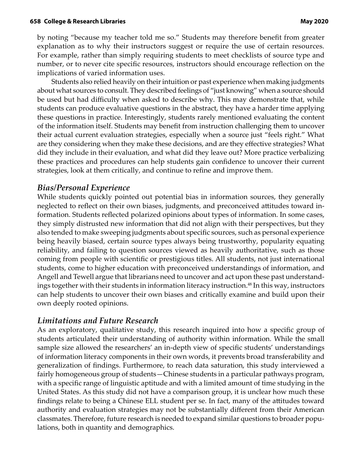#### **658 College & Research Libraries May 2020**

by noting "because my teacher told me so." Students may therefore benefit from greater explanation as to why their instructors suggest or require the use of certain resources. For example, rather than simply requiring students to meet checklists of source type and number, or to never cite specific resources, instructors should encourage reflection on the implications of varied information uses.

Students also relied heavily on their intuition or past experience when making judgments about what sources to consult. They described feelings of "just knowing" when a source should be used but had difficulty when asked to describe why. This may demonstrate that, while students can produce evaluative questions in the abstract, they have a harder time applying these questions in practice. Interestingly, students rarely mentioned evaluating the content of the information itself. Students may benefit from instruction challenging them to uncover their actual current evaluation strategies, especially when a source just "feels right." What are they considering when they make these decisions, and are they effective strategies? What did they include in their evaluation, and what did they leave out? More practice verbalizing these practices and procedures can help students gain confidence to uncover their current strategies, look at them critically, and continue to refine and improve them.

# *Bias/Personal Experience*

While students quickly pointed out potential bias in information sources, they generally neglected to reflect on their own biases, judgments, and preconceived attitudes toward information. Students reflected polarized opinions about types of information. In some cases, they simply distrusted new information that did not align with their perspectives, but they also tended to make sweeping judgments about specific sources, such as personal experience being heavily biased, certain source types always being trustworthy, popularity equating reliability, and failing to question sources viewed as heavily authoritative, such as those coming from people with scientific or prestigious titles. All students, not just international students, come to higher education with preconceived understandings of information, and Angell and Tewell argue that librarians need to uncover and act upon these past understandings together with their students in information literacy instruction.<sup>48</sup> In this way, instructors can help students to uncover their own biases and critically examine and build upon their own deeply rooted opinions.

# *Limitations and Future Research*

As an exploratory, qualitative study, this research inquired into how a specific group of students articulated their understanding of authority within information. While the small sample size allowed the researchers' an in-depth view of specific students' understandings of information literacy components in their own words, it prevents broad transferability and generalization of findings. Furthermore, to reach data saturation, this study interviewed a fairly homogeneous group of students—Chinese students in a particular pathways program, with a specific range of linguistic aptitude and with a limited amount of time studying in the United States. As this study did not have a comparison group, it is unclear how much these findings relate to being a Chinese ELL student per se. In fact, many of the attitudes toward authority and evaluation strategies may not be substantially different from their American classmates. Therefore, future research is needed to expand similar questions to broader populations, both in quantity and demographics.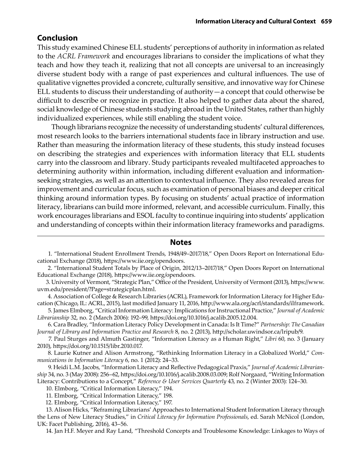#### **Conclusion**

This study examined Chinese ELL students' perceptions of authority in information as related to the *ACRL Framework* and encourages librarians to consider the implications of what they teach and how they teach it, realizing that not all concepts are universal to an increasingly diverse student body with a range of past experiences and cultural influences. The use of qualitative vignettes provided a concrete, culturally sensitive, and innovative way for Chinese ELL students to discuss their understanding of authority—a concept that could otherwise be difficult to describe or recognize in practice. It also helped to gather data about the shared, social knowledge of Chinese students studying abroad in the United States, rather than highly individualized experiences, while still enabling the student voice.

Though librarians recognize the necessity of understanding students' cultural differences, most research looks to the barriers international students face in library instruction and use. Rather than measuring the information literacy of these students, this study instead focuses on describing the strategies and experiences with information literacy that ELL students carry into the classroom and library. Study participants revealed multifaceted approaches to determining authority within information, including different evaluation and informationseeking strategies, as well as an attention to contextual influence. They also revealed areas for improvement and curricular focus, such as examination of personal biases and deeper critical thinking around information types. By focusing on students' actual practice of information literacy, librarians can build more informed, relevant, and accessible curriculum. Finally, this work encourages librarians and ESOL faculty to continue inquiring into students' application and understanding of concepts within their information literacy frameworks and paradigms.

#### **Notes**

1. "International Student Enrollment Trends, 1948/49–2017/18," Open Doors Report on International Educational Exchange (2018), <https://www.iie.org/opendoors>.

2. "International Student Totals by Place of Origin, 2012/13–2017/18," Open Doors Report on International Educational Exchange (2018), <https://www.iie.org/opendoors>.

 3. University of Vermont, "Strategic Plan," Office of the President, University of Vermont (2013), [https://www.](https://www.uvm.edu/president/?Page=strategicplan.html) [uvm.edu/president/?Page=strategicplan.html.](https://www.uvm.edu/president/?Page=strategicplan.html)

4. Association of College & Research Libraries (ACRL), Framework for Information Literacy for Higher Education (Chicago, IL: ACRL, 2015), last modified January 11, 2016,<http://www.ala.org/acrl/standards/ilframework>.

5. James Elmborg, "Critical Information Literacy: Implications for Instructional Practice," *Journal of Academic Librarianship* 32, no. 2 (March 2006): 192–99,<https://doi.org/10.1016/j.acalib.2005.12.004>.

6. Cara Bradley, "Information Literacy Policy Development in Canada: Is It Time?" *Partnership: The Canadian Journal of Library and Information Practice and Research* 8, no. 2 (2013), <http://scholar.uwindsor.ca/lripub/9>.

  7. Paul Sturges and Almuth Gastinger, "Information Literacy as a Human Right," *Libri* 60, no. 3 (January 2010), <https://doi.org/10.1515/libr.2010.017>.

8. Laurie Kutner and Alison Armstrong, "Rethinking Information Literacy in a Globalized World," *Communications in Information Literacy* 6, no. 1 (2012): 24–33.

9. Heidi L.M. Jacobs, "Information Literacy and Reflective Pedagogical Praxis," *Journal of Academic Librarianship* 34, no. 3 (May 2008): 256–62, [https://doi.org/10.1016/j.acalib.2008.03.009;](https://doi.org/10.1016/j.acalib.2008.03.009) Rolf Norgaard, "Writing Information Literacy: Contributions to a Concept," *Reference & User Services Quarterly* 43, no. 2 (Winter 2003): 124–30.

10. Elmborg, "Critical Information Literacy," 194.

11. Elmborg, "Critical Information Literacy," 198.

12. Elmborg, "Critical Information Literacy," 197.

13. Alison Hicks, "Reframing Librarians' Approaches to International Student Information Literacy through the Lens of New Literacy Studies," in *Critical Literacy for Information Professionals*, ed. Sarah McNicol (London, UK: Facet Publishing, 2016), 43–56.

14. Jan H.F. Meyer and Ray Land, "Threshold Concepts and Troublesome Knowledge: Linkages to Ways of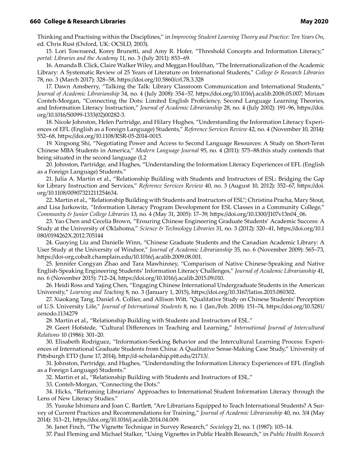#### **660 College & Research Libraries May 2020**

Thinking and Practising within the Disciplines," in *Improving Student Learning Theory and Practice: Ten Years On*, ed. Chris Rust (Oxford, UK: OCSLD, 2003).

15. Lori Townsend, Korey Brunetti, and Amy R. Hofer, "Threshold Concepts and Information Literacy," *portal: Libraries and the Academy* 11, no. 3 (July 2011): 853–69.

 16. Amanda B. Click, Claire Walker Wiley, and Meggan Houlihan, "The Internationalization of the Academic Library: A Systematic Review of 25 Years of Literature on International Students," *College & Research Libraries* 78, no. 3 (March 2017): 328–58,<https://doi.org/10.5860/crl.78.3.328>

17. Dawn Amsberry, "Talking the Talk: Library Classroom Communication and International Students," *Journal of Academic Librarianship* 34, no. 4 (July 2008): 354–57, [https://doi.org/10.1016/j.acalib.2008.05.007;](https://doi.org/10.1016/j.acalib.2008.05.007) Miriam Conteh-Morgan, "Connecting the Dots: Limited English Proficiency, Second Language Learning Theories, and Information Literacy Instruction," *Journal of Academic Librarianship* 28, no. 4 (July 2002): 191–96, [https://doi.](https://doi.org/10.1016/S0099-1333(02)00282-3) [org/10.1016/S0099-1333\(02\)00282-3.](https://doi.org/10.1016/S0099-1333(02)00282-3)

18. Nicole Johnston, Helen Partridge, and Hilary Hughes, "Understanding the Information Literacy Experiences of EFL (English as a Foreign Language) Students," *Reference Services Review* 42, no. 4 (November 10, 2014): 552–68, <https://doi.org/10.1108/RSR-05-2014-0015>.

19. Xingsong Shi, "Negotiating Power and Access to Second Language Resources: A Study on Short-Term Chinese MBA Students in America," *Modern Language Journal* 95, no. 4 (2011): 575–88.this study contends that being situated in the second language (L2

20. Johnston, Partridge, and Hughes, "Understanding the Information Literacy Experiences of EFL (English as a Foreign Language) Students."

21. Julia A. Martin et al., "Relationship Building with Students and Instructors of ESL: Bridging the Gap for Library Instruction and Services," *Reference Services Review* 40, no. 3 (August 10, 2012): 352–67, [https://doi.](https://doi.org/10.1108/00907321211254634) [org/10.1108/00907321211254634](https://doi.org/10.1108/00907321211254634).

22. Martin et al., "Relationship Building with Students and Instructors of ESL"; Christina Pracha, Mary Stout, and Lisa Jurkowitz, "Information Literacy Program Development for ESL Classes in a Community College," *Community & Junior College Libraries* 13, no. 4 (May 31, 2005): 17–39, [https://doi.org/10.1300/J107v13n04\\_06.](https://doi.org/10.1300/J107v13n04_06)

 23. Yao Chen and Cecelia Brown, "Ensuring Chinese Engineering Graduate Students' Academic Success: A Study at the University of Oklahoma," *Science & Technology Libraries* 31, no. 3 (2012): 320–41, [https://doi.org/10.1](https://doi.org/10.1080/0194262X.2012.705144) [080/0194262X.2012.705144](https://doi.org/10.1080/0194262X.2012.705144)

 24. Guoying Liu and Danielle Winn, "Chinese Graduate Students and the Canadian Academic Library: A User Study at the University of Windsor," *Journal of Academic Librarianship* 35, no. 6 (November 2009): 565–73, [https://doi-org.cobalt.champlain.edu/10.1016/j.acalib.2009.08.001.](https://doi-org.cobalt.champlain.edu/10.1016/j.acalib.2009.08.001)

25. Jennifer Congyan Zhao and Tara Mawhinney, "Comparison of Native Chinese-Speaking and Native English-Speaking Engineering Students' Information Literacy Challenges," *Journal of Academic Librarianship* 41, no. 6 (November 2015): 712–24,<https://doi.org/10.1016/j.acalib.2015.09.010>.

26. Heidi Ross and Yajing Chen, "Engaging Chinese International Undergraduate Students in the American University," *Learning and Teaching* 8, no. 3 (January 1, 2015), <https://doi.org/10.3167/latiss.2015.080302>.

 27. Xiaokang Tang, Daniel A. Collier, and Allison Witt, "Qualitative Study on Chinese Students' Perception of U.S. University Life," *Journal of International Students* 8, no. 1 (Jan./Feb. 2018): 151–74, [https://doi.org/10.5281/](https://doi.org/10.5281/zenodo.1134279) [zenodo.1134279](https://doi.org/10.5281/zenodo.1134279)

28. Martin et al., "Relationship Building with Students and Instructors of ESL."

29. Geert Hofstede, "Cultural Differences in Teaching and Learning," *International Journal of Intercultural Relations* 10 (1986): 301–20.

30. Elisabeth Rodriguez, "Information-Seeking Behavior and the Intercultural Learning Process: Experiences of International Graduate Students from China: A Qualitative Sense-Making Case Study," University of Pittsburgh ETD (June 17, 2014), [http://d-scholarship.pitt.edu/21713/.](http://d-scholarship.pitt.edu/21713/)

31. Johnston, Partridge, and Hughes, "Understanding the Information Literacy Experiences of EFL (English as a Foreign Language) Students."

32. Martin et al., "Relationship Building with Students and Instructors of ESL."

33. Conteh-Morgan, "Connecting the Dots."

34. Hicks, "Reframing Librarians' Approaches to International Student Information Literacy through the Lens of New Literacy Studies."

35. Yusuke Ishimura and Joan C. Bartlett, "Are Librarians Equipped to Teach International Students? A Survey of Current Practices and Recommendations for Training," *Journal of Academic Librarianship* 40, no. 3/4 (May 2014): 313–21,<https://doi.org/10.1016/j.acalib.2014.04.009>.

36. Janet Finch, "The Vignette Technique in Survey Research," *Sociology* 21, no. 1 (1987): 105–14.

37. Paul Fleming and Michael Stalker, "Using Vignettes in Public Health Research," in *Public Health Research*